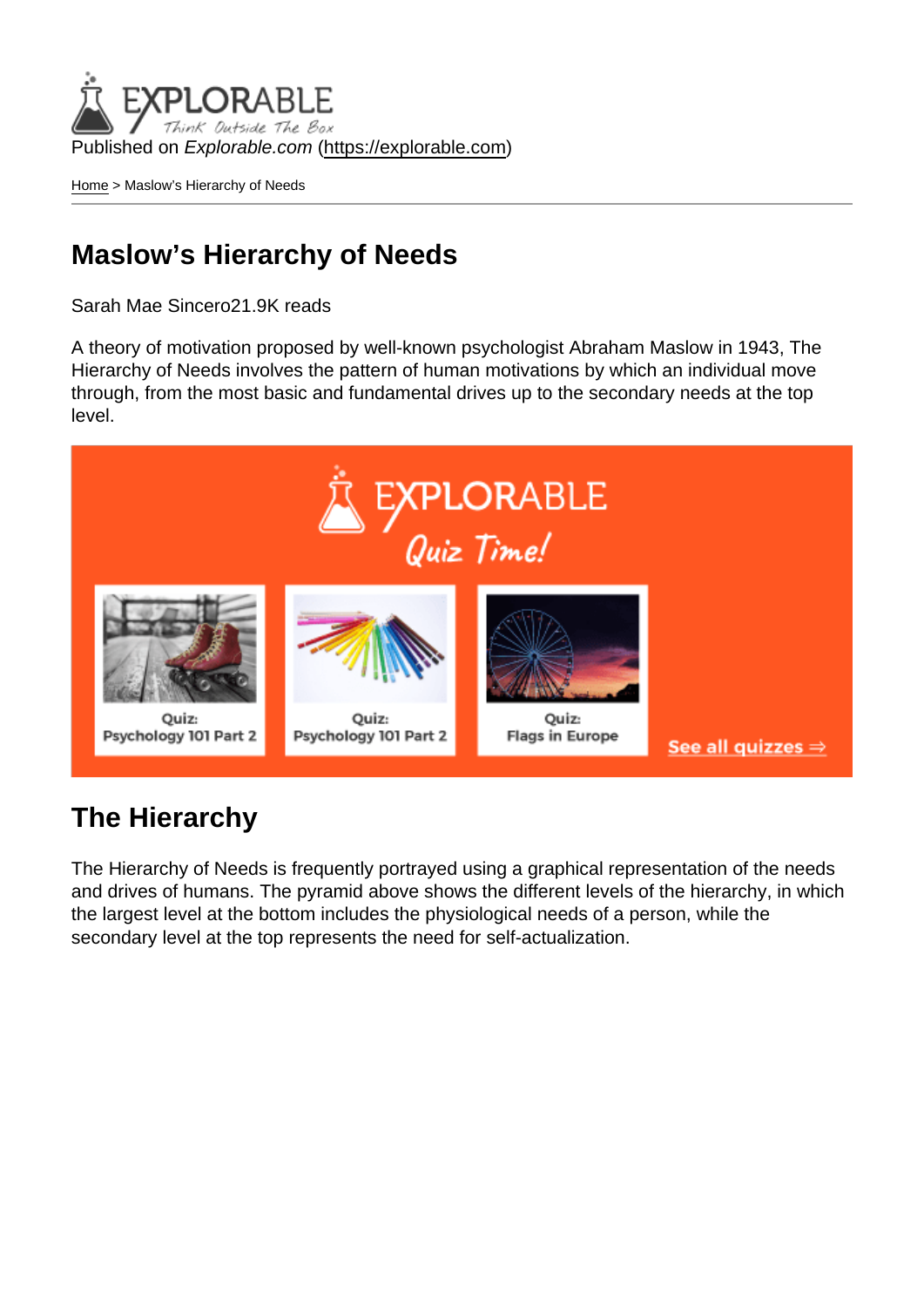Published on Explorable.com (<https://explorable.com>)

[Home](https://explorable.com/) > Maslow's Hierarchy of Needs

# Maslow's Hierarchy of Needs

Sarah Mae Sincero21.9K reads

A theory of motivation proposed by well-known psychologist Abraham Maslow in 1943, The Hierarchy of Needs involves the pattern of human motivations by which an individual move through, from the most basic and fundamental drives up to the secondary needs at the top level.

### The Hierarchy

The Hierarchy of Needs is frequently portrayed using a graphical representation of the needs and drives of humans. The pyramid above shows the different levels of the hierarchy, in which the largest level at the bottom includes the physiological needs of a person, while the secondary level at the top represents the need for self-actualization.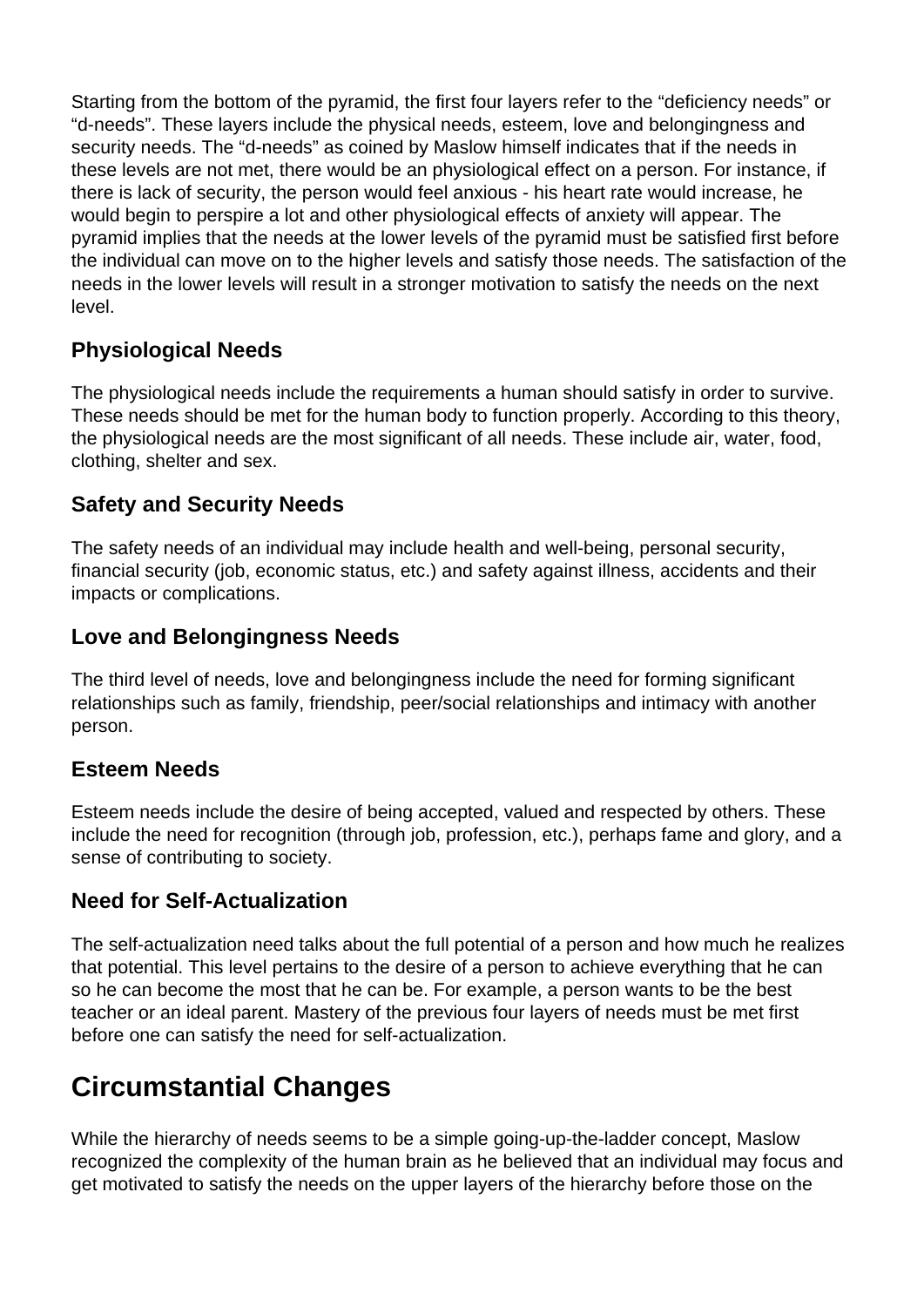Starting from the bottom of the pyramid, the first four layers refer to the "deficiency needs" or "d-needs". These layers include the physical needs, esteem, love and belongingness and security needs. The "d-needs" as coined by Maslow himself indicates that if the needs in these levels are not met, there would be an physiological effect on a person. For instance, if there is lack of security, the person would feel anxious - his heart rate would increase, he would begin to perspire a lot and other physiological effects of anxiety will appear. The pyramid implies that the needs at the lower levels of the pyramid must be satisfied first before the individual can move on to the higher levels and satisfy those needs. The satisfaction of the needs in the lower levels will result in a stronger motivation to satisfy the needs on the next level.

#### **Physiological Needs**

The physiological needs include the requirements a human should satisfy in order to survive. These needs should be met for the human body to function properly. According to this theory, the physiological needs are the most significant of all needs. These include air, water, food, clothing, shelter and sex.

### **Safety and Security Needs**

The safety needs of an individual may include health and well-being, personal security, financial security (job, economic status, etc.) and safety against illness, accidents and their impacts or complications.

#### **Love and Belongingness Needs**

The third level of needs, love and belongingness include the need for forming significant relationships such as family, friendship, peer/social relationships and intimacy with another person.

#### **Esteem Needs**

Esteem needs include the desire of being accepted, valued and respected by others. These include the need for recognition (through job, profession, etc.), perhaps fame and glory, and a sense of contributing to society.

#### **Need for Self-Actualization**

The self-actualization need talks about the full potential of a person and how much he realizes that potential. This level pertains to the desire of a person to achieve everything that he can so he can become the most that he can be. For example, a person wants to be the best teacher or an ideal parent. Mastery of the previous four layers of needs must be met first before one can satisfy the need for self-actualization.

# **Circumstantial Changes**

While the hierarchy of needs seems to be a simple going-up-the-ladder concept, Maslow recognized the complexity of the human brain as he believed that an individual may focus and get motivated to satisfy the needs on the upper layers of the hierarchy before those on the